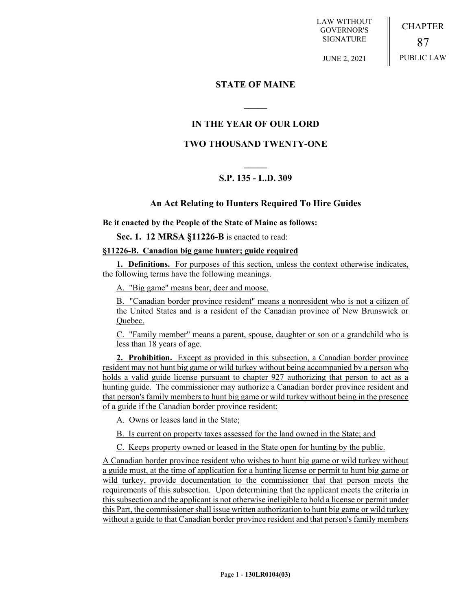LAW WITHOUT GOVERNOR'S SIGNATURE

CHAPTER 87 PUBLIC LAW

JUNE 2, 2021

### **STATE OF MAINE**

# **IN THE YEAR OF OUR LORD**

**\_\_\_\_\_**

## **TWO THOUSAND TWENTY-ONE**

# **\_\_\_\_\_ S.P. 135 - L.D. 309**

### **An Act Relating to Hunters Required To Hire Guides**

**Be it enacted by the People of the State of Maine as follows:**

**Sec. 1. 12 MRSA §11226-B** is enacted to read:

#### **§11226-B. Canadian big game hunter; guide required**

**1. Definitions.** For purposes of this section, unless the context otherwise indicates, the following terms have the following meanings.

A. "Big game" means bear, deer and moose.

B. "Canadian border province resident" means a nonresident who is not a citizen of the United States and is a resident of the Canadian province of New Brunswick or Quebec.

C. "Family member" means a parent, spouse, daughter or son or a grandchild who is less than 18 years of age.

**2. Prohibition.** Except as provided in this subsection, a Canadian border province resident may not hunt big game or wild turkey without being accompanied by a person who holds a valid guide license pursuant to chapter 927 authorizing that person to act as a hunting guide. The commissioner may authorize a Canadian border province resident and that person's family members to hunt big game or wild turkey without being in the presence of a guide if the Canadian border province resident:

A. Owns or leases land in the State;

B. Is current on property taxes assessed for the land owned in the State; and

C. Keeps property owned or leased in the State open for hunting by the public.

A Canadian border province resident who wishes to hunt big game or wild turkey without a guide must, at the time of application for a hunting license or permit to hunt big game or wild turkey, provide documentation to the commissioner that that person meets the requirements of this subsection. Upon determining that the applicant meets the criteria in this subsection and the applicant is not otherwise ineligible to hold a license or permit under this Part, the commissioner shall issue written authorization to hunt big game or wild turkey without a guide to that Canadian border province resident and that person's family members